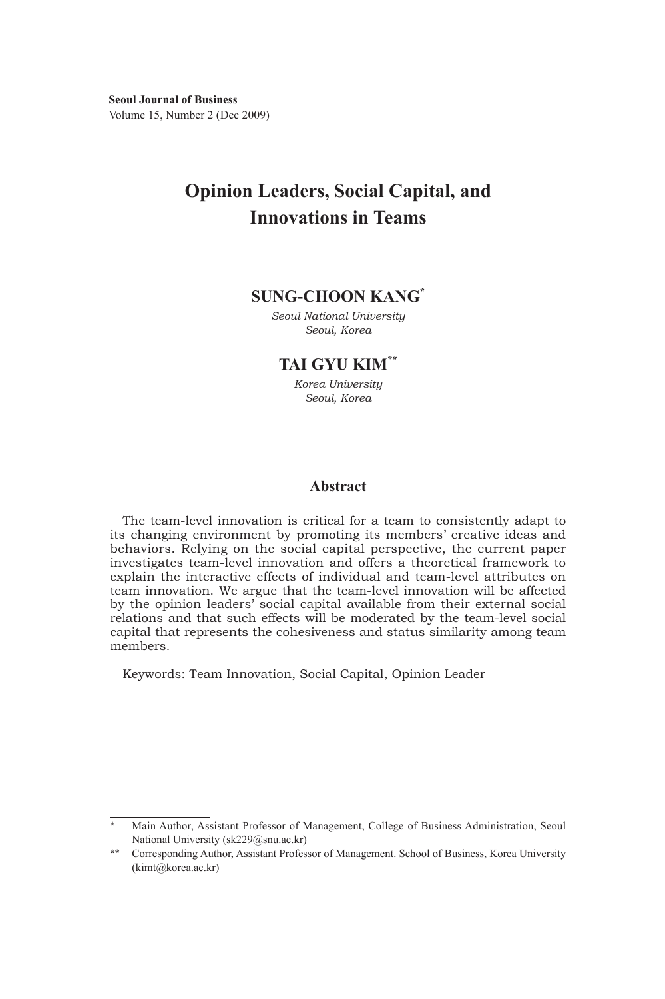**Seoul Journal of Business** Volume 15, Number 2 (Dec 2009)

# **Opinion Leaders, Social Capital, and Innovations in Teams**

# **SUNG-CHOON KANG\***

*Seoul National University Seoul, Korea*

# **TAI GYU KIM\*\***

*Korea University Seoul, Korea*

# **Abstract**

The team-level innovation is critical for a team to consistently adapt to its changing environment by promoting its members' creative ideas and behaviors. Relying on the social capital perspective, the current paper investigates team-level innovation and offers a theoretical framework to explain the interactive effects of individual and team-level attributes on team innovation. We argue that the team-level innovation will be affected by the opinion leaders' social capital available from their external social relations and that such effects will be moderated by the team-level social capital that represents the cohesiveness and status similarity among team members.

Keywords: Team Innovation, Social Capital, Opinion Leader

<sup>\*</sup> Main Author, Assistant Professor of Management, College of Business Administration, Seoul National University (sk229@snu.ac.kr)

<sup>\*\*</sup> Corresponding Author, Assistant Professor of Management. School of Business, Korea University (kimt@korea.ac.kr)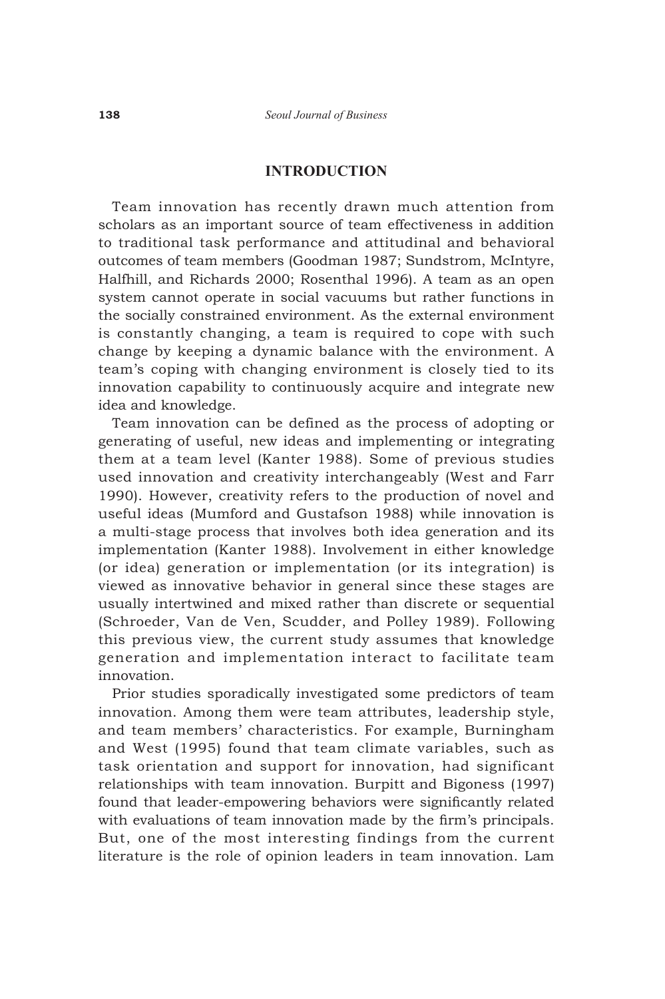# **INTRODUCTION**

Team innovation has recently drawn much attention from scholars as an important source of team effectiveness in addition to traditional task performance and attitudinal and behavioral outcomes of team members (Goodman 1987; Sundstrom, McIntyre, Halfhill, and Richards 2000; Rosenthal 1996). A team as an open system cannot operate in social vacuums but rather functions in the socially constrained environment. As the external environment is constantly changing, a team is required to cope with such change by keeping a dynamic balance with the environment. A team's coping with changing environment is closely tied to its innovation capability to continuously acquire and integrate new idea and knowledge.

Team innovation can be defined as the process of adopting or generating of useful, new ideas and implementing or integrating them at a team level (Kanter 1988). Some of previous studies used innovation and creativity interchangeably (West and Farr 1990). However, creativity refers to the production of novel and useful ideas (Mumford and Gustafson 1988) while innovation is a multi-stage process that involves both idea generation and its implementation (Kanter 1988). Involvement in either knowledge (or idea) generation or implementation (or its integration) is viewed as innovative behavior in general since these stages are usually intertwined and mixed rather than discrete or sequential (Schroeder, Van de Ven, Scudder, and Polley 1989). Following this previous view, the current study assumes that knowledge generation and implementation interact to facilitate team innovation.

Prior studies sporadically investigated some predictors of team innovation. Among them were team attributes, leadership style, and team members' characteristics. For example, Burningham and West (1995) found that team climate variables, such as task orientation and support for innovation, had significant relationships with team innovation. Burpitt and Bigoness (1997) found that leader-empowering behaviors were significantly related with evaluations of team innovation made by the firm's principals. But, one of the most interesting findings from the current literature is the role of opinion leaders in team innovation. Lam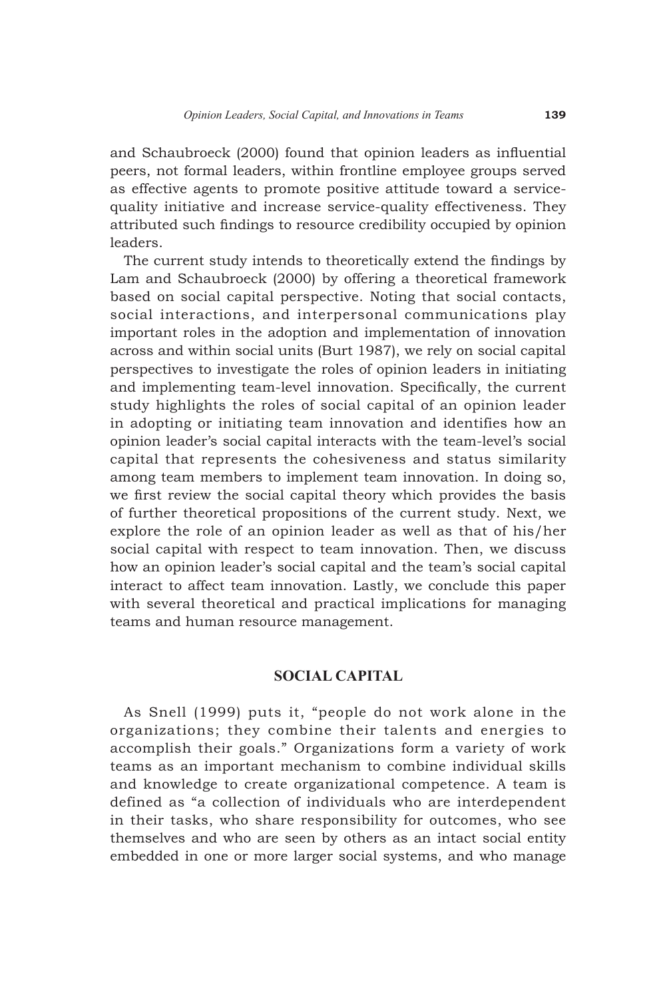and Schaubroeck (2000) found that opinion leaders as influential peers, not formal leaders, within frontline employee groups served as effective agents to promote positive attitude toward a servicequality initiative and increase service-quality effectiveness. They attributed such findings to resource credibility occupied by opinion leaders.

The current study intends to theoretically extend the findings by Lam and Schaubroeck (2000) by offering a theoretical framework based on social capital perspective. Noting that social contacts, social interactions, and interpersonal communications play important roles in the adoption and implementation of innovation across and within social units (Burt 1987), we rely on social capital perspectives to investigate the roles of opinion leaders in initiating and implementing team-level innovation. Specifically, the current study highlights the roles of social capital of an opinion leader in adopting or initiating team innovation and identifies how an opinion leader's social capital interacts with the team-level's social capital that represents the cohesiveness and status similarity among team members to implement team innovation. In doing so, we first review the social capital theory which provides the basis of further theoretical propositions of the current study. Next, we explore the role of an opinion leader as well as that of his/her social capital with respect to team innovation. Then, we discuss how an opinion leader's social capital and the team's social capital interact to affect team innovation. Lastly, we conclude this paper with several theoretical and practical implications for managing teams and human resource management.

# **SOCIAL CAPITAL**

As Snell (1999) puts it, "people do not work alone in the organizations; they combine their talents and energies to accomplish their goals." Organizations form a variety of work teams as an important mechanism to combine individual skills and knowledge to create organizational competence. A team is defined as "a collection of individuals who are interdependent in their tasks, who share responsibility for outcomes, who see themselves and who are seen by others as an intact social entity embedded in one or more larger social systems, and who manage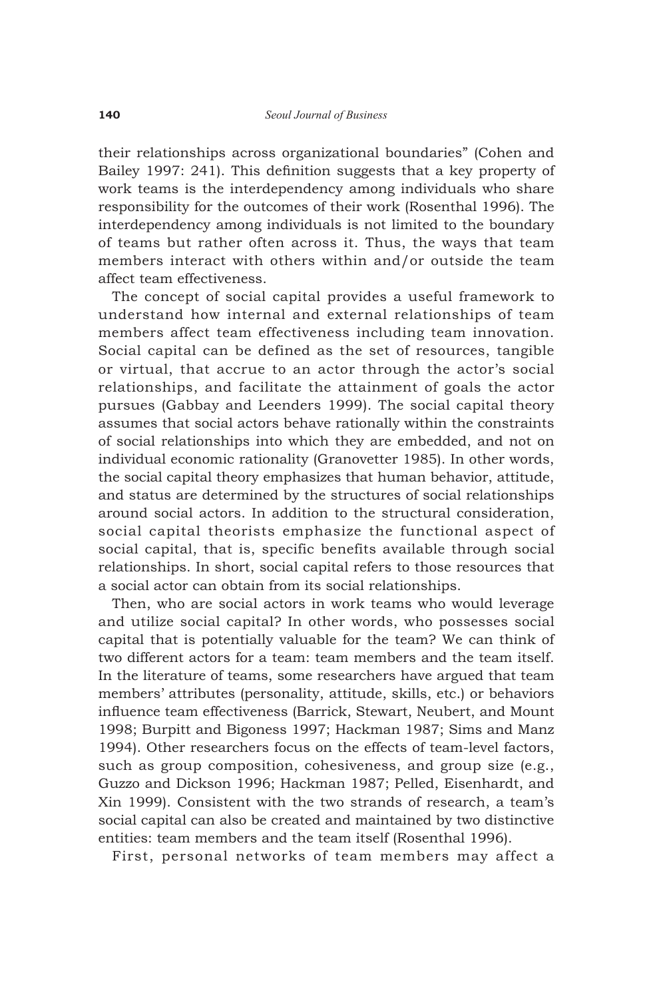their relationships across organizational boundaries" (Cohen and Bailey 1997: 241). This definition suggests that a key property of work teams is the interdependency among individuals who share responsibility for the outcomes of their work (Rosenthal 1996). The interdependency among individuals is not limited to the boundary of teams but rather often across it. Thus, the ways that team members interact with others within and/or outside the team affect team effectiveness.

The concept of social capital provides a useful framework to understand how internal and external relationships of team members affect team effectiveness including team innovation. Social capital can be defined as the set of resources, tangible or virtual, that accrue to an actor through the actor's social relationships, and facilitate the attainment of goals the actor pursues (Gabbay and Leenders 1999). The social capital theory assumes that social actors behave rationally within the constraints of social relationships into which they are embedded, and not on individual economic rationality (Granovetter 1985). In other words, the social capital theory emphasizes that human behavior, attitude, and status are determined by the structures of social relationships around social actors. In addition to the structural consideration, social capital theorists emphasize the functional aspect of social capital, that is, specific benefits available through social relationships. In short, social capital refers to those resources that a social actor can obtain from its social relationships.

Then, who are social actors in work teams who would leverage and utilize social capital? In other words, who possesses social capital that is potentially valuable for the team? We can think of two different actors for a team: team members and the team itself. In the literature of teams, some researchers have argued that team members' attributes (personality, attitude, skills, etc.) or behaviors influence team effectiveness (Barrick, Stewart, Neubert, and Mount 1998; Burpitt and Bigoness 1997; Hackman 1987; Sims and Manz 1994). Other researchers focus on the effects of team-level factors, such as group composition, cohesiveness, and group size (e.g., Guzzo and Dickson 1996; Hackman 1987; Pelled, Eisenhardt, and Xin 1999). Consistent with the two strands of research, a team's social capital can also be created and maintained by two distinctive entities: team members and the team itself (Rosenthal 1996).

First, personal networks of team members may affect a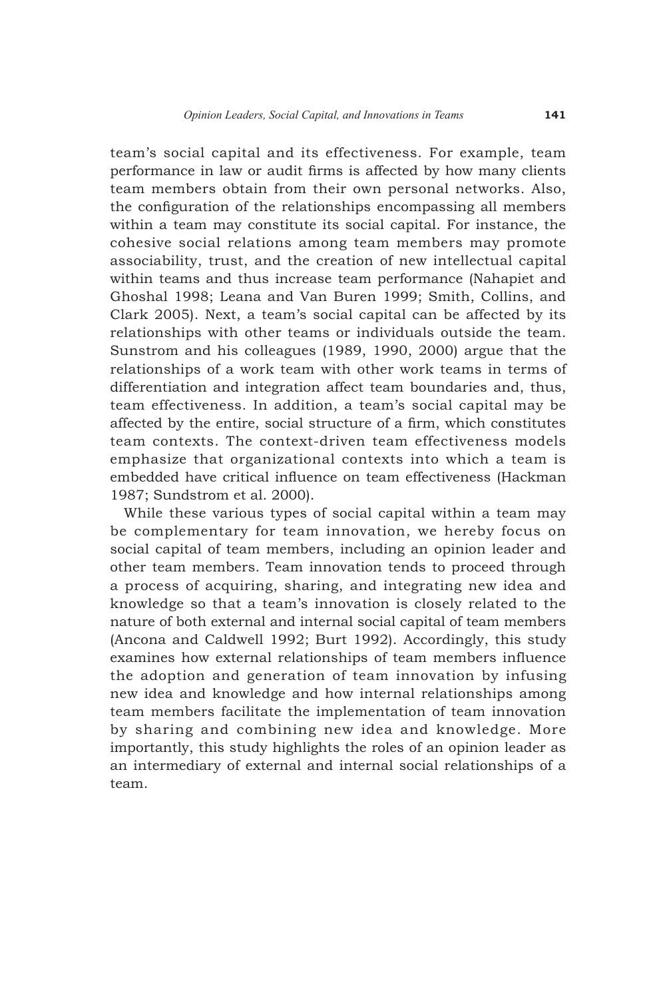team's social capital and its effectiveness. For example, team performance in law or audit firms is affected by how many clients team members obtain from their own personal networks. Also, the configuration of the relationships encompassing all members within a team may constitute its social capital. For instance, the cohesive social relations among team members may promote associability, trust, and the creation of new intellectual capital within teams and thus increase team performance (Nahapiet and Ghoshal 1998; Leana and Van Buren 1999; Smith, Collins, and Clark 2005). Next, a team's social capital can be affected by its relationships with other teams or individuals outside the team. Sunstrom and his colleagues (1989, 1990, 2000) argue that the relationships of a work team with other work teams in terms of differentiation and integration affect team boundaries and, thus, team effectiveness. In addition, a team's social capital may be affected by the entire, social structure of a firm, which constitutes team contexts. The context-driven team effectiveness models emphasize that organizational contexts into which a team is embedded have critical influence on team effectiveness (Hackman 1987; Sundstrom et al. 2000).

While these various types of social capital within a team may be complementary for team innovation, we hereby focus on social capital of team members, including an opinion leader and other team members. Team innovation tends to proceed through a process of acquiring, sharing, and integrating new idea and knowledge so that a team's innovation is closely related to the nature of both external and internal social capital of team members (Ancona and Caldwell 1992; Burt 1992). Accordingly, this study examines how external relationships of team members influence the adoption and generation of team innovation by infusing new idea and knowledge and how internal relationships among team members facilitate the implementation of team innovation by sharing and combining new idea and knowledge. More importantly, this study highlights the roles of an opinion leader as an intermediary of external and internal social relationships of a team.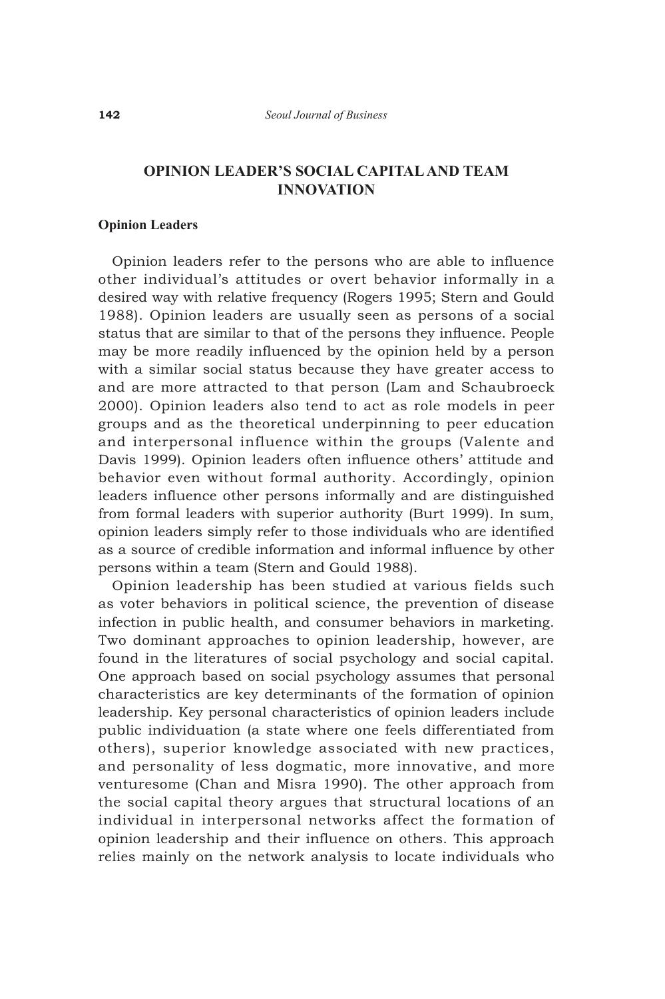# **OPINION LEADER'S SOCIAL CAPITAL AND TEAM INNOVATION**

#### **Opinion Leaders**

Opinion leaders refer to the persons who are able to influence other individual's attitudes or overt behavior informally in a desired way with relative frequency (Rogers 1995; Stern and Gould 1988). Opinion leaders are usually seen as persons of a social status that are similar to that of the persons they influence. People may be more readily influenced by the opinion held by a person with a similar social status because they have greater access to and are more attracted to that person (Lam and Schaubroeck 2000). Opinion leaders also tend to act as role models in peer groups and as the theoretical underpinning to peer education and interpersonal influence within the groups (Valente and Davis 1999). Opinion leaders often influence others' attitude and behavior even without formal authority. Accordingly, opinion leaders influence other persons informally and are distinguished from formal leaders with superior authority (Burt 1999). In sum, opinion leaders simply refer to those individuals who are identified as a source of credible information and informal influence by other persons within a team (Stern and Gould 1988).

Opinion leadership has been studied at various fields such as voter behaviors in political science, the prevention of disease infection in public health, and consumer behaviors in marketing. Two dominant approaches to opinion leadership, however, are found in the literatures of social psychology and social capital. One approach based on social psychology assumes that personal characteristics are key determinants of the formation of opinion leadership. Key personal characteristics of opinion leaders include public individuation (a state where one feels differentiated from others), superior knowledge associated with new practices, and personality of less dogmatic, more innovative, and more venturesome (Chan and Misra 1990). The other approach from the social capital theory argues that structural locations of an individual in interpersonal networks affect the formation of opinion leadership and their influence on others. This approach relies mainly on the network analysis to locate individuals who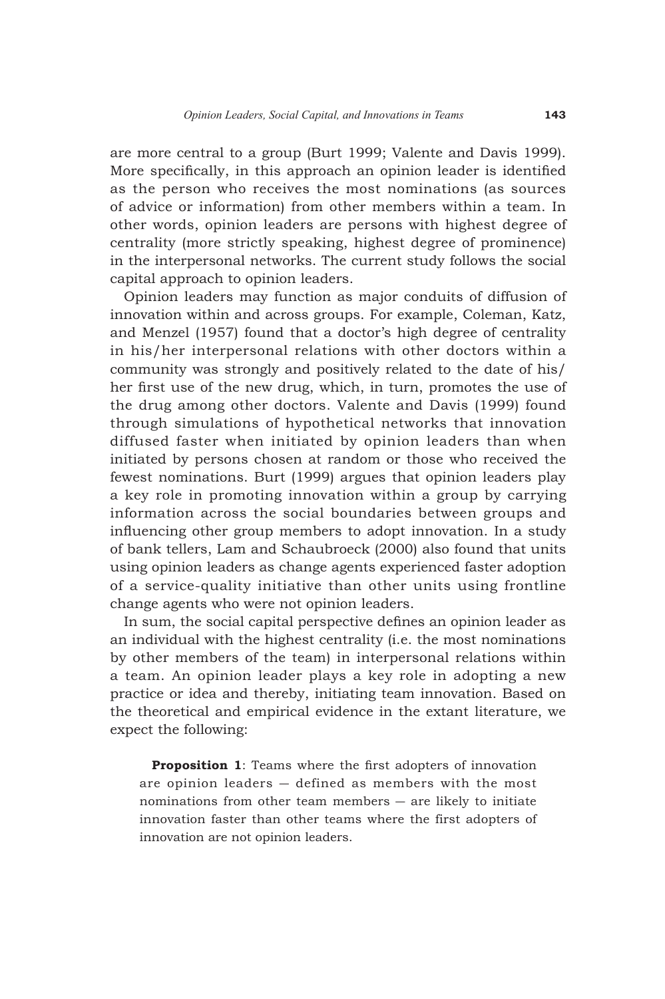are more central to a group (Burt 1999; Valente and Davis 1999). More specifically, in this approach an opinion leader is identified as the person who receives the most nominations (as sources of advice or information) from other members within a team. In other words, opinion leaders are persons with highest degree of centrality (more strictly speaking, highest degree of prominence) in the interpersonal networks. The current study follows the social capital approach to opinion leaders.

Opinion leaders may function as major conduits of diffusion of innovation within and across groups. For example, Coleman, Katz, and Menzel (1957) found that a doctor's high degree of centrality in his/her interpersonal relations with other doctors within a community was strongly and positively related to the date of his/ her first use of the new drug, which, in turn, promotes the use of the drug among other doctors. Valente and Davis (1999) found through simulations of hypothetical networks that innovation diffused faster when initiated by opinion leaders than when initiated by persons chosen at random or those who received the fewest nominations. Burt (1999) argues that opinion leaders play a key role in promoting innovation within a group by carrying information across the social boundaries between groups and influencing other group members to adopt innovation. In a study of bank tellers, Lam and Schaubroeck (2000) also found that units using opinion leaders as change agents experienced faster adoption of a service-quality initiative than other units using frontline change agents who were not opinion leaders.

In sum, the social capital perspective defines an opinion leader as an individual with the highest centrality (i.e. the most nominations by other members of the team) in interpersonal relations within a team. An opinion leader plays a key role in adopting a new practice or idea and thereby, initiating team innovation. Based on the theoretical and empirical evidence in the extant literature, we expect the following:

**Proposition 1**: Teams where the first adopters of innovation are opinion leaders ― defined as members with the most nominations from other team members ― are likely to initiate innovation faster than other teams where the first adopters of innovation are not opinion leaders.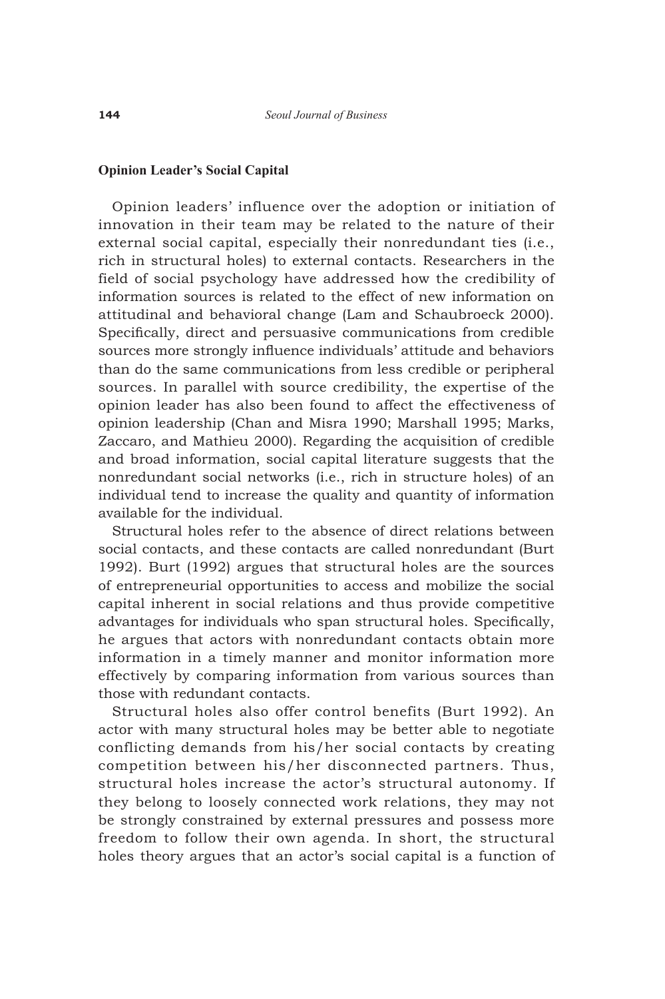### **Opinion Leader's Social Capital**

Opinion leaders' influence over the adoption or initiation of innovation in their team may be related to the nature of their external social capital, especially their nonredundant ties (i.e., rich in structural holes) to external contacts. Researchers in the field of social psychology have addressed how the credibility of information sources is related to the effect of new information on attitudinal and behavioral change (Lam and Schaubroeck 2000). Specifically, direct and persuasive communications from credible sources more strongly influence individuals' attitude and behaviors than do the same communications from less credible or peripheral sources. In parallel with source credibility, the expertise of the opinion leader has also been found to affect the effectiveness of opinion leadership (Chan and Misra 1990; Marshall 1995; Marks, Zaccaro, and Mathieu 2000). Regarding the acquisition of credible and broad information, social capital literature suggests that the nonredundant social networks (i.e., rich in structure holes) of an individual tend to increase the quality and quantity of information available for the individual.

Structural holes refer to the absence of direct relations between social contacts, and these contacts are called nonredundant (Burt 1992). Burt (1992) argues that structural holes are the sources of entrepreneurial opportunities to access and mobilize the social capital inherent in social relations and thus provide competitive advantages for individuals who span structural holes. Specifically, he argues that actors with nonredundant contacts obtain more information in a timely manner and monitor information more effectively by comparing information from various sources than those with redundant contacts.

Structural holes also offer control benefits (Burt 1992). An actor with many structural holes may be better able to negotiate conflicting demands from his/her social contacts by creating competition between his/her disconnected partners. Thus, structural holes increase the actor's structural autonomy. If they belong to loosely connected work relations, they may not be strongly constrained by external pressures and possess more freedom to follow their own agenda. In short, the structural holes theory argues that an actor's social capital is a function of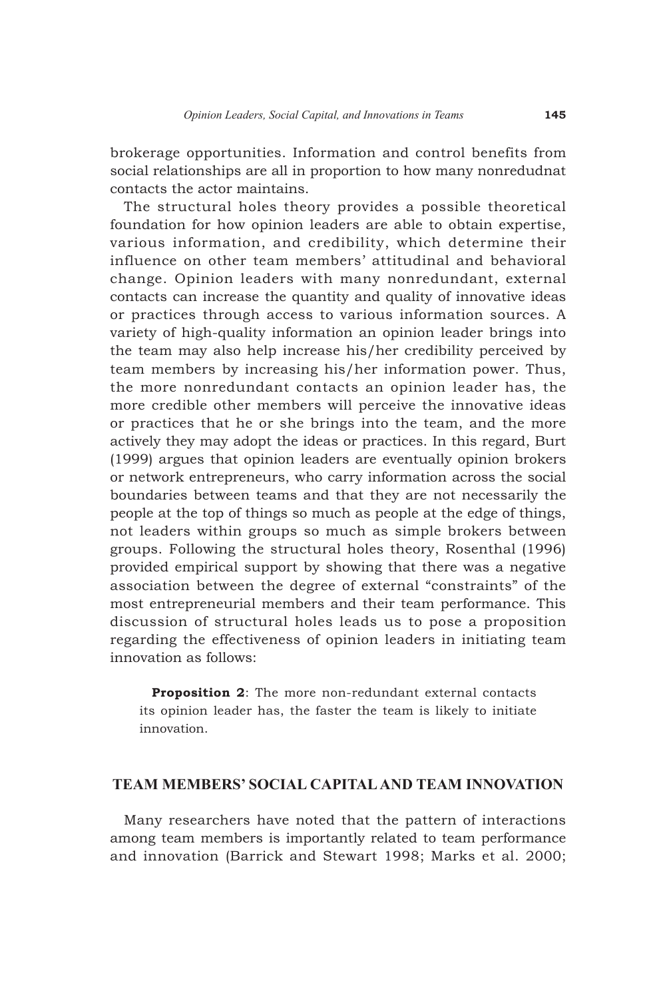brokerage opportunities. Information and control benefits from social relationships are all in proportion to how many nonredudnat contacts the actor maintains.

The structural holes theory provides a possible theoretical foundation for how opinion leaders are able to obtain expertise, various information, and credibility, which determine their influence on other team members' attitudinal and behavioral change. Opinion leaders with many nonredundant, external contacts can increase the quantity and quality of innovative ideas or practices through access to various information sources. A variety of high-quality information an opinion leader brings into the team may also help increase his/her credibility perceived by team members by increasing his/her information power. Thus, the more nonredundant contacts an opinion leader has, the more credible other members will perceive the innovative ideas or practices that he or she brings into the team, and the more actively they may adopt the ideas or practices. In this regard, Burt (1999) argues that opinion leaders are eventually opinion brokers or network entrepreneurs, who carry information across the social boundaries between teams and that they are not necessarily the people at the top of things so much as people at the edge of things, not leaders within groups so much as simple brokers between groups. Following the structural holes theory, Rosenthal (1996) provided empirical support by showing that there was a negative association between the degree of external "constraints" of the most entrepreneurial members and their team performance. This discussion of structural holes leads us to pose a proposition regarding the effectiveness of opinion leaders in initiating team innovation as follows:

**Proposition 2**: The more non-redundant external contacts its opinion leader has, the faster the team is likely to initiate innovation.

# **TEAM MEMBERS' SOCIAL CAPITAL AND TEAM INNOVATION**

Many researchers have noted that the pattern of interactions among team members is importantly related to team performance and innovation (Barrick and Stewart 1998; Marks et al. 2000;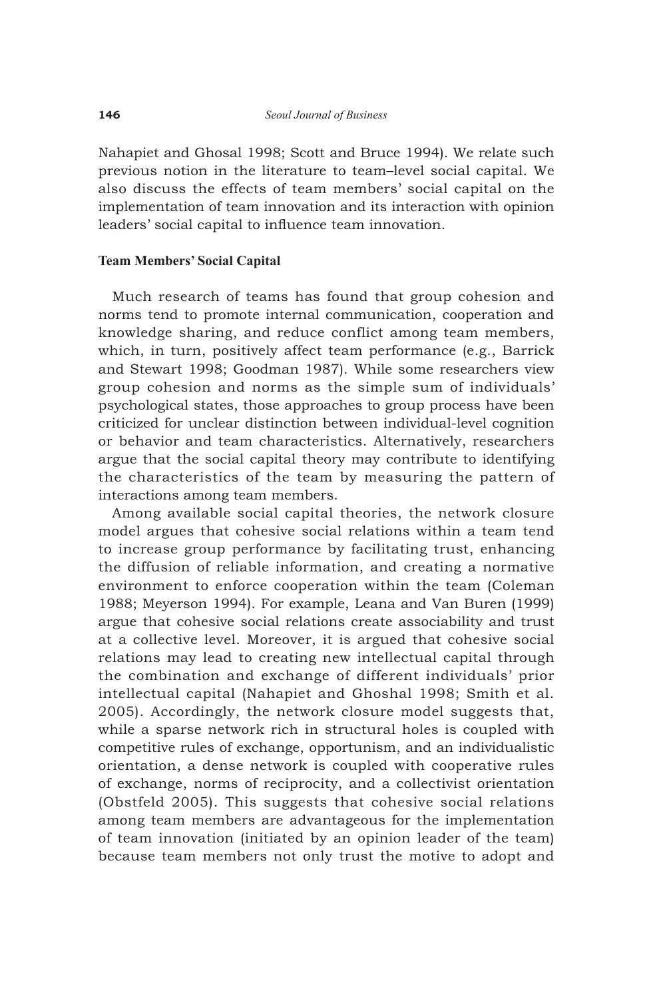Nahapiet and Ghosal 1998; Scott and Bruce 1994). We relate such previous notion in the literature to team–level social capital. We also discuss the effects of team members' social capital on the implementation of team innovation and its interaction with opinion leaders' social capital to influence team innovation.

### **Team Members' Social Capital**

Much research of teams has found that group cohesion and norms tend to promote internal communication, cooperation and knowledge sharing, and reduce conflict among team members, which, in turn, positively affect team performance (e.g., Barrick and Stewart 1998; Goodman 1987). While some researchers view group cohesion and norms as the simple sum of individuals' psychological states, those approaches to group process have been criticized for unclear distinction between individual-level cognition or behavior and team characteristics. Alternatively, researchers argue that the social capital theory may contribute to identifying the characteristics of the team by measuring the pattern of interactions among team members.

Among available social capital theories, the network closure model argues that cohesive social relations within a team tend to increase group performance by facilitating trust, enhancing the diffusion of reliable information, and creating a normative environment to enforce cooperation within the team (Coleman 1988; Meyerson 1994). For example, Leana and Van Buren (1999) argue that cohesive social relations create associability and trust at a collective level. Moreover, it is argued that cohesive social relations may lead to creating new intellectual capital through the combination and exchange of different individuals' prior intellectual capital (Nahapiet and Ghoshal 1998; Smith et al. 2005). Accordingly, the network closure model suggests that, while a sparse network rich in structural holes is coupled with competitive rules of exchange, opportunism, and an individualistic orientation, a dense network is coupled with cooperative rules of exchange, norms of reciprocity, and a collectivist orientation (Obstfeld 2005). This suggests that cohesive social relations among team members are advantageous for the implementation of team innovation (initiated by an opinion leader of the team) because team members not only trust the motive to adopt and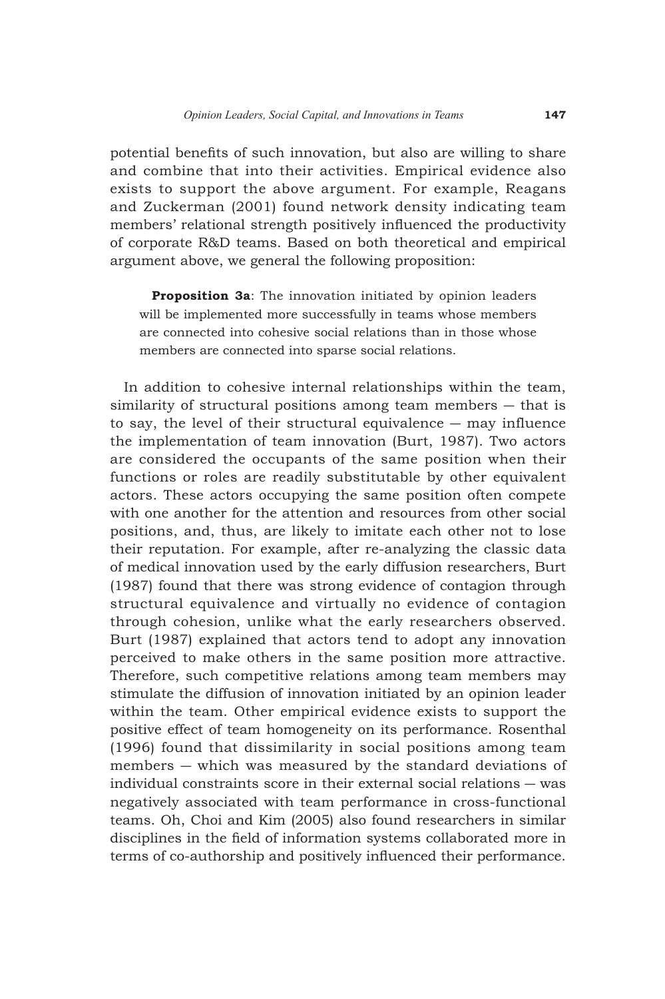potential benefits of such innovation, but also are willing to share and combine that into their activities. Empirical evidence also exists to support the above argument. For example, Reagans and Zuckerman (2001) found network density indicating team members' relational strength positively influenced the productivity of corporate R&D teams. Based on both theoretical and empirical argument above, we general the following proposition:

**Proposition 3a**: The innovation initiated by opinion leaders will be implemented more successfully in teams whose members are connected into cohesive social relations than in those whose members are connected into sparse social relations.

In addition to cohesive internal relationships within the team, similarity of structural positions among team members ― that is to say, the level of their structural equivalence ― may influence the implementation of team innovation (Burt, 1987). Two actors are considered the occupants of the same position when their functions or roles are readily substitutable by other equivalent actors. These actors occupying the same position often compete with one another for the attention and resources from other social positions, and, thus, are likely to imitate each other not to lose their reputation. For example, after re-analyzing the classic data of medical innovation used by the early diffusion researchers, Burt (1987) found that there was strong evidence of contagion through structural equivalence and virtually no evidence of contagion through cohesion, unlike what the early researchers observed. Burt (1987) explained that actors tend to adopt any innovation perceived to make others in the same position more attractive. Therefore, such competitive relations among team members may stimulate the diffusion of innovation initiated by an opinion leader within the team. Other empirical evidence exists to support the positive effect of team homogeneity on its performance. Rosenthal (1996) found that dissimilarity in social positions among team members ― which was measured by the standard deviations of individual constraints score in their external social relations ― was negatively associated with team performance in cross-functional teams. Oh, Choi and Kim (2005) also found researchers in similar disciplines in the field of information systems collaborated more in terms of co-authorship and positively influenced their performance.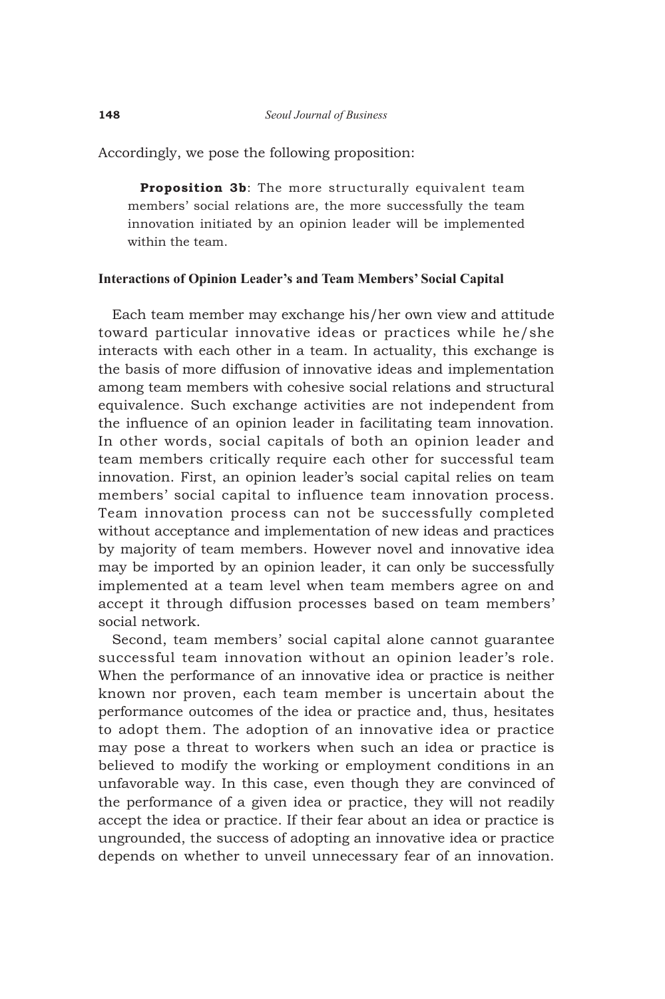Accordingly, we pose the following proposition:

**Proposition 3b**: The more structurally equivalent team members' social relations are, the more successfully the team innovation initiated by an opinion leader will be implemented within the team.

#### **Interactions of Opinion Leader's and Team Members' Social Capital**

Each team member may exchange his/her own view and attitude toward particular innovative ideas or practices while he/she interacts with each other in a team. In actuality, this exchange is the basis of more diffusion of innovative ideas and implementation among team members with cohesive social relations and structural equivalence. Such exchange activities are not independent from the influence of an opinion leader in facilitating team innovation. In other words, social capitals of both an opinion leader and team members critically require each other for successful team innovation. First, an opinion leader's social capital relies on team members' social capital to influence team innovation process. Team innovation process can not be successfully completed without acceptance and implementation of new ideas and practices by majority of team members. However novel and innovative idea may be imported by an opinion leader, it can only be successfully implemented at a team level when team members agree on and accept it through diffusion processes based on team members' social network.

Second, team members' social capital alone cannot guarantee successful team innovation without an opinion leader's role. When the performance of an innovative idea or practice is neither known nor proven, each team member is uncertain about the performance outcomes of the idea or practice and, thus, hesitates to adopt them. The adoption of an innovative idea or practice may pose a threat to workers when such an idea or practice is believed to modify the working or employment conditions in an unfavorable way. In this case, even though they are convinced of the performance of a given idea or practice, they will not readily accept the idea or practice. If their fear about an idea or practice is ungrounded, the success of adopting an innovative idea or practice depends on whether to unveil unnecessary fear of an innovation.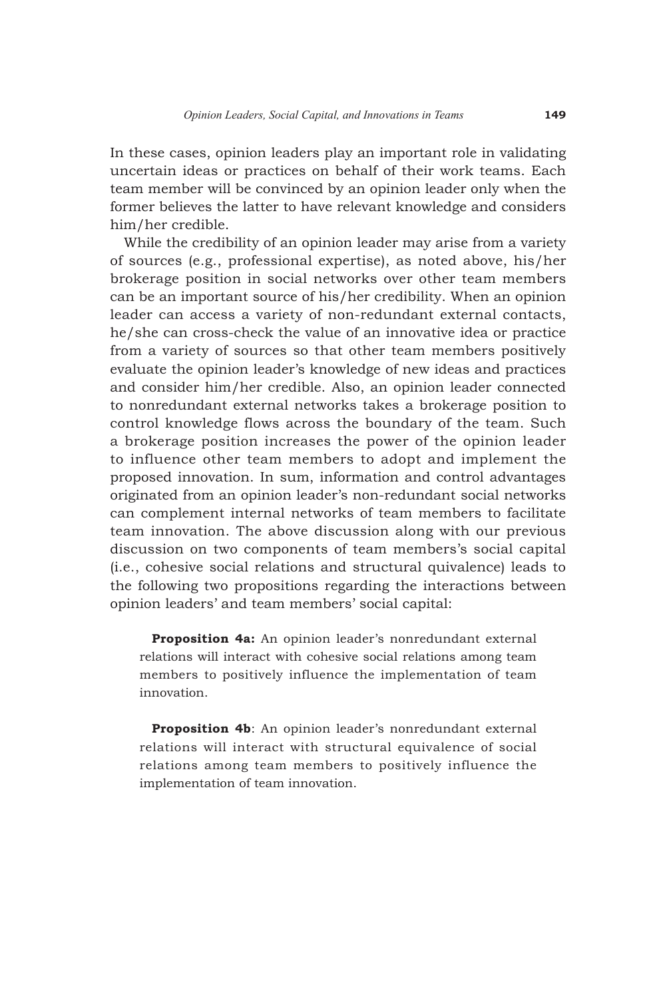In these cases, opinion leaders play an important role in validating uncertain ideas or practices on behalf of their work teams. Each team member will be convinced by an opinion leader only when the former believes the latter to have relevant knowledge and considers him/her credible.

While the credibility of an opinion leader may arise from a variety of sources (e.g., professional expertise), as noted above, his/her brokerage position in social networks over other team members can be an important source of his/her credibility. When an opinion leader can access a variety of non-redundant external contacts, he/she can cross-check the value of an innovative idea or practice from a variety of sources so that other team members positively evaluate the opinion leader's knowledge of new ideas and practices and consider him/her credible. Also, an opinion leader connected to nonredundant external networks takes a brokerage position to control knowledge flows across the boundary of the team. Such a brokerage position increases the power of the opinion leader to influence other team members to adopt and implement the proposed innovation. In sum, information and control advantages originated from an opinion leader's non-redundant social networks can complement internal networks of team members to facilitate team innovation. The above discussion along with our previous discussion on two components of team members's social capital (i.e., cohesive social relations and structural quivalence) leads to the following two propositions regarding the interactions between opinion leaders' and team members' social capital:

**Proposition 4a:** An opinion leader's nonredundant external relations will interact with cohesive social relations among team members to positively influence the implementation of team innovation.

**Proposition 4b**: An opinion leader's nonredundant external relations will interact with structural equivalence of social relations among team members to positively influence the implementation of team innovation.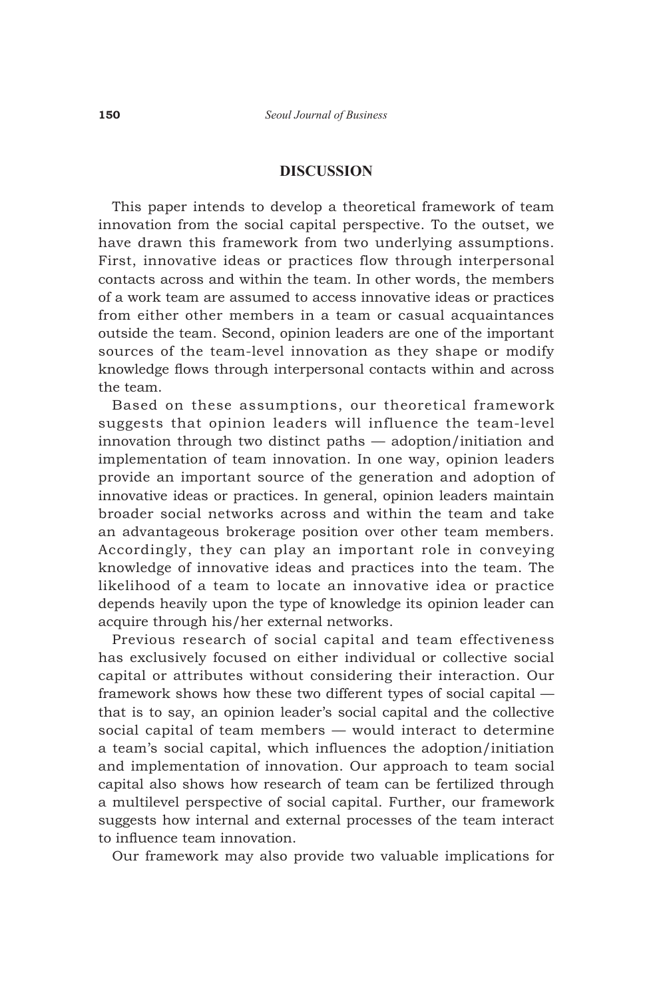### **DISCUSSION**

This paper intends to develop a theoretical framework of team innovation from the social capital perspective. To the outset, we have drawn this framework from two underlying assumptions. First, innovative ideas or practices flow through interpersonal contacts across and within the team. In other words, the members of a work team are assumed to access innovative ideas or practices from either other members in a team or casual acquaintances outside the team. Second, opinion leaders are one of the important sources of the team-level innovation as they shape or modify knowledge flows through interpersonal contacts within and across the team.

Based on these assumptions, our theoretical framework suggests that opinion leaders will influence the team-level innovation through two distinct paths — adoption/initiation and implementation of team innovation. In one way, opinion leaders provide an important source of the generation and adoption of innovative ideas or practices. In general, opinion leaders maintain broader social networks across and within the team and take an advantageous brokerage position over other team members. Accordingly, they can play an important role in conveying knowledge of innovative ideas and practices into the team. The likelihood of a team to locate an innovative idea or practice depends heavily upon the type of knowledge its opinion leader can acquire through his/her external networks.

Previous research of social capital and team effectiveness has exclusively focused on either individual or collective social capital or attributes without considering their interaction. Our framework shows how these two different types of social capital that is to say, an opinion leader's social capital and the collective social capital of team members — would interact to determine a team's social capital, which influences the adoption/initiation and implementation of innovation. Our approach to team social capital also shows how research of team can be fertilized through a multilevel perspective of social capital. Further, our framework suggests how internal and external processes of the team interact to influence team innovation.

Our framework may also provide two valuable implications for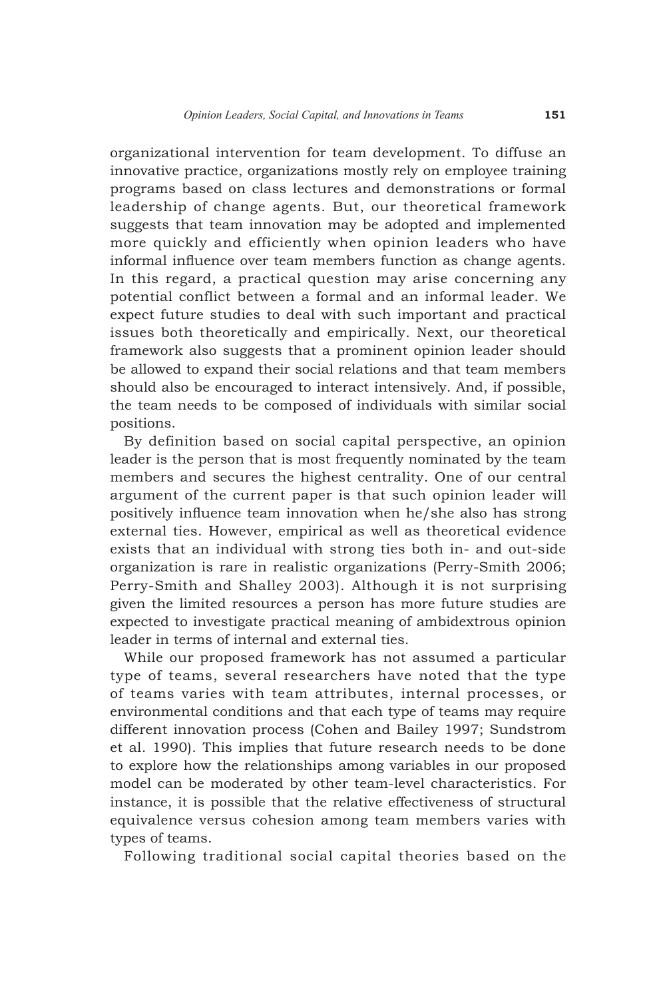organizational intervention for team development. To diffuse an innovative practice, organizations mostly rely on employee training programs based on class lectures and demonstrations or formal leadership of change agents. But, our theoretical framework suggests that team innovation may be adopted and implemented more quickly and efficiently when opinion leaders who have informal influence over team members function as change agents. In this regard, a practical question may arise concerning any potential conflict between a formal and an informal leader. We expect future studies to deal with such important and practical issues both theoretically and empirically. Next, our theoretical framework also suggests that a prominent opinion leader should be allowed to expand their social relations and that team members should also be encouraged to interact intensively. And, if possible, the team needs to be composed of individuals with similar social positions.

By definition based on social capital perspective, an opinion leader is the person that is most frequently nominated by the team members and secures the highest centrality. One of our central argument of the current paper is that such opinion leader will positively influence team innovation when he/she also has strong external ties. However, empirical as well as theoretical evidence exists that an individual with strong ties both in- and out-side organization is rare in realistic organizations (Perry-Smith 2006; Perry-Smith and Shalley 2003). Although it is not surprising given the limited resources a person has more future studies are expected to investigate practical meaning of ambidextrous opinion leader in terms of internal and external ties.

While our proposed framework has not assumed a particular type of teams, several researchers have noted that the type of teams varies with team attributes, internal processes, or environmental conditions and that each type of teams may require different innovation process (Cohen and Bailey 1997; Sundstrom et al. 1990). This implies that future research needs to be done to explore how the relationships among variables in our proposed model can be moderated by other team-level characteristics. For instance, it is possible that the relative effectiveness of structural equivalence versus cohesion among team members varies with types of teams.

Following traditional social capital theories based on the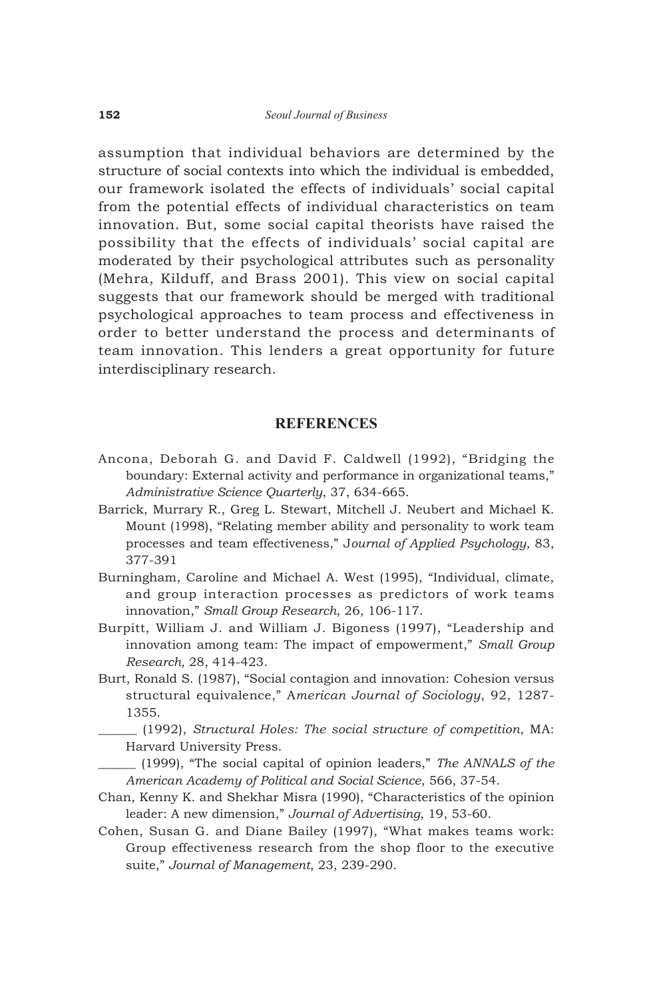assumption that individual behaviors are determined by the structure of social contexts into which the individual is embedded, our framework isolated the effects of individuals' social capital from the potential effects of individual characteristics on team innovation. But, some social capital theorists have raised the possibility that the effects of individuals' social capital are moderated by their psychological attributes such as personality (Mehra, Kilduff, and Brass 2001). This view on social capital suggests that our framework should be merged with traditional psychological approaches to team process and effectiveness in order to better understand the process and determinants of team innovation. This lenders a great opportunity for future interdisciplinary research.

# **REFERENCES**

- Ancona, Deborah G. and David F. Caldwell (1992), "Bridging the boundary: External activity and performance in organizational teams," *Administrative Science Quarterly*, 37, 634-665.
- Barrick, Murrary R., Greg L. Stewart, Mitchell J. Neubert and Michael K. Mount (1998), "Relating member ability and personality to work team processes and team effectiveness," J*ournal of Applied Psychology,* 83, 377-391
- Burningham, Caroline and Michael A. West (1995), "Individual, climate, and group interaction processes as predictors of work teams innovation," *Small Group Research*, 26, 106-117.
- Burpitt, William J. and William J. Bigoness (1997), "Leadership and innovation among team: The impact of empowerment," *Small Group Research,* 28, 414-423.
- Burt, Ronald S. (1987), "Social contagion and innovation: Cohesion versus structural equivalence," A*merican Journal of Sociology*, 92, 1287- 1355.
	- \_\_\_\_\_\_ (1992), *Structural Holes: The social structure of competition*, MA: Harvard University Press.

\_\_\_\_\_\_ (1999), "The social capital of opinion leaders," *The ANNALS of the American Academy of Political and Social Science*, 566, 37-54.

- Chan, Kenny K. and Shekhar Misra (1990), "Characteristics of the opinion leader: A new dimension," *Journal of Advertising*, 19, 53-60.
- Cohen, Susan G. and Diane Bailey (1997), "What makes teams work: Group effectiveness research from the shop floor to the executive suite," *Journal of Management*, 23, 239-290.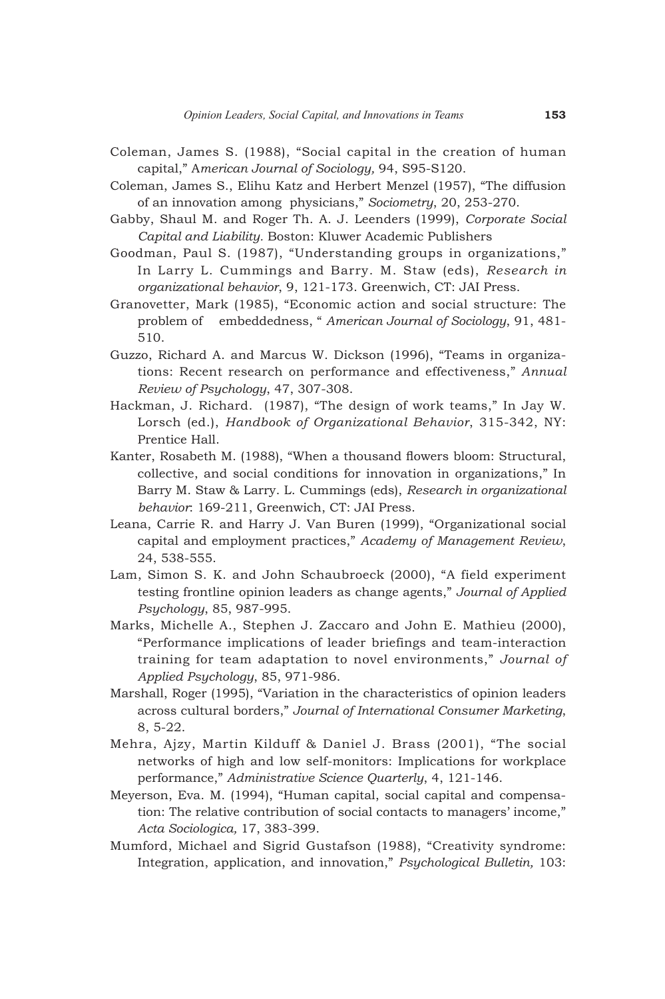- Coleman, James S. (1988), "Social capital in the creation of human capital," A*merican Journal of Sociology,* 94, S95-S120.
- Coleman, James S., Elihu Katz and Herbert Menzel (1957), "The diffusion of an innovation among physicians," *Sociometry*, 20, 253-270.
- Gabby, Shaul M. and Roger Th. A. J. Leenders (1999), *Corporate Social Capital and Liability.* Boston: Kluwer Academic Publishers
- Goodman, Paul S. (1987), "Understanding groups in organizations," In Larry L. Cummings and Barry. M. Staw (eds), *Research in organizational behavior*, 9, 121-173. Greenwich, CT: JAI Press.
- Granovetter, Mark (1985), "Economic action and social structure: The problem of embeddedness, " *American Journal of Sociology*, 91, 481- 510.
- Guzzo, Richard A. and Marcus W. Dickson (1996), "Teams in organizations: Recent research on performance and effectiveness," *Annual Review of Psychology*, 47, 307-308.
- Hackman, J. Richard. (1987), "The design of work teams," In Jay W. Lorsch (ed.), *Handbook of Organizational Behavior*, 315-342, NY: Prentice Hall.
- Kanter, Rosabeth M. (1988), "When a thousand flowers bloom: Structural, collective, and social conditions for innovation in organizations," In Barry M. Staw & Larry. L. Cummings (eds), *Research in organizational behavior*: 169-211, Greenwich, CT: JAI Press.
- Leana, Carrie R. and Harry J. Van Buren (1999), "Organizational social capital and employment practices," *Academy of Management Review*, 24, 538-555.
- Lam, Simon S. K. and John Schaubroeck (2000), "A field experiment testing frontline opinion leaders as change agents," *Journal of Applied Psychology*, 85, 987-995.
- Marks, Michelle A., Stephen J. Zaccaro and John E. Mathieu (2000), "Performance implications of leader briefings and team-interaction training for team adaptation to novel environments," *Journal of Applied Psychology*, 85, 971-986.
- Marshall, Roger (1995), "Variation in the characteristics of opinion leaders across cultural borders," *Journal of International Consumer Marketing*, 8, 5-22.
- Mehra, Ajzy, Martin Kilduff & Daniel J. Brass (2001), "The social networks of high and low self-monitors: Implications for workplace performance," *Administrative Science Quarterly*, 4, 121-146.
- Meyerson, Eva. M. (1994), "Human capital, social capital and compensation: The relative contribution of social contacts to managers' income," *Acta Sociologica,* 17, 383-399.
- Mumford, Michael and Sigrid Gustafson (1988), "Creativity syndrome: Integration, application, and innovation," *Psychological Bulletin,* 103: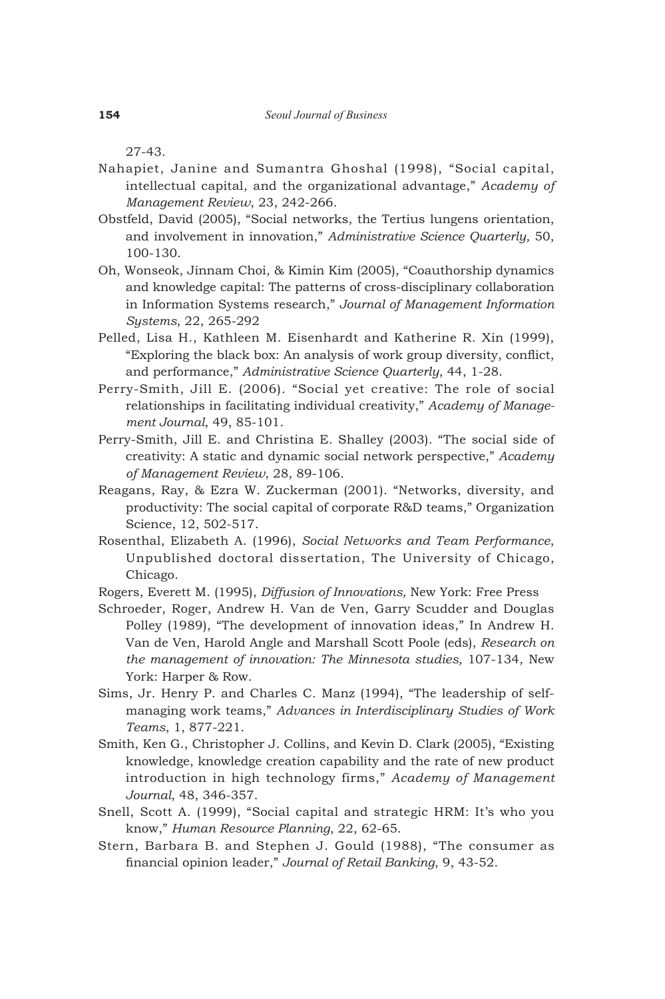27-43.

- Nahapiet, Janine and Sumantra Ghoshal (1998), "Social capital, intellectual capital, and the organizational advantage," *Academy of Management Review*, 23, 242-266.
- Obstfeld, David (2005), "Social networks, the Tertius lungens orientation, and involvement in innovation," *Administrative Science Quarterly,* 50, 100-130.
- Oh, Wonseok, Jinnam Choi, & Kimin Kim (2005), "Coauthorship dynamics and knowledge capital: The patterns of cross-disciplinary collaboration in Information Systems research," *Journal of Management Information Systems*, 22, 265-292
- Pelled, Lisa H., Kathleen M. Eisenhardt and Katherine R. Xin (1999), "Exploring the black box: An analysis of work group diversity, conflict, and performance," *Administrative Science Quarterly*, 44, 1-28.
- Perry-Smith, Jill E. (2006). "Social yet creative: The role of social relationships in facilitating individual creativity," *Academy of Management Journal*, 49, 85-101.
- Perry-Smith, Jill E. and Christina E. Shalley (2003). "The social side of creativity: A static and dynamic social network perspective," *Academy of Management Review*, 28, 89-106.
- Reagans, Ray, & Ezra W. Zuckerman (2001). "Networks, diversity, and productivity: The social capital of corporate R&D teams," Organization Science, 12, 502-517.
- Rosenthal, Elizabeth A. (1996), *Social Networks and Team Performance*, Unpublished doctoral dissertation, The University of Chicago, Chicago.
- Rogers, Everett M. (1995), *Diffusion of Innovations,* New York: Free Press
- Schroeder, Roger, Andrew H. Van de Ven, Garry Scudder and Douglas Polley (1989), "The development of innovation ideas," In Andrew H. Van de Ven, Harold Angle and Marshall Scott Poole (eds), *Research on the management of innovation: The Minnesota studies,* 107-134, New York: Harper & Row.
- Sims, Jr. Henry P. and Charles C. Manz (1994), "The leadership of selfmanaging work teams," *Advances in Interdisciplinary Studies of Work Teams*, 1, 877-221.
- Smith, Ken G., Christopher J. Collins, and Kevin D. Clark (2005), "Existing knowledge, knowledge creation capability and the rate of new product introduction in high technology firms," *Academy of Management Journal*, 48, 346-357.
- Snell, Scott A. (1999), "Social capital and strategic HRM: It's who you know," *Human Resource Planning*, 22, 62-65.
- Stern, Barbara B. and Stephen J. Gould (1988), "The consumer as financial opinion leader," *Journal of Retail Banking*, 9, 43-52.